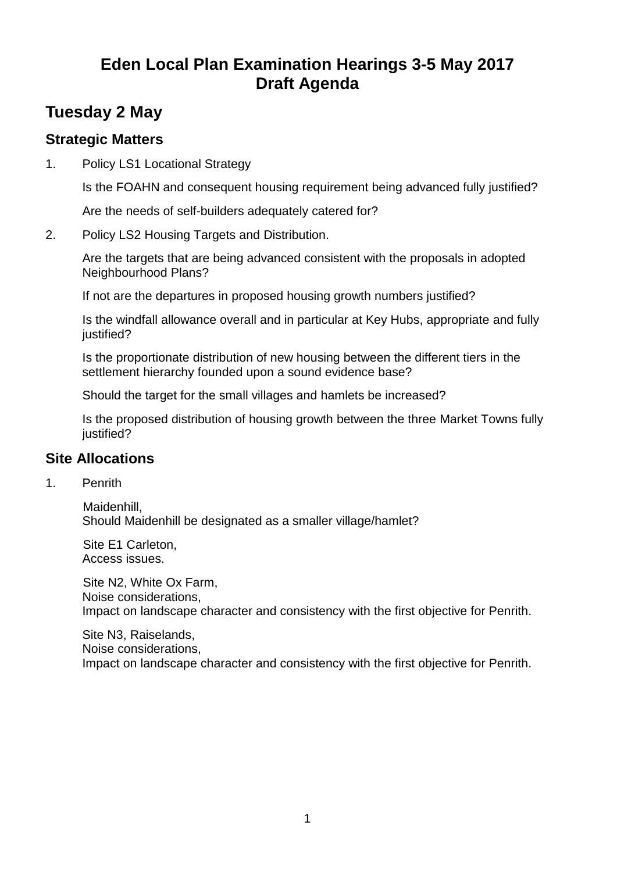# **Eden Local Plan Examination Hearings 3-5 May 2017 Draft Agenda**

## **Tuesday 2 May**

#### **Strategic Matters**

1. Policy LS1 Locational Strategy

Is the FOAHN and consequent housing requirement being advanced fully justified?

Are the needs of self-builders adequately catered for?

2. Policy LS2 Housing Targets and Distribution.

Are the targets that are being advanced consistent with the proposals in adopted Neighbourhood Plans?

If not are the departures in proposed housing growth numbers justified?

Is the windfall allowance overall and in particular at Key Hubs, appropriate and fully justified?

Is the proportionate distribution of new housing between the different tiers in the settlement hierarchy founded upon a sound evidence base?

Should the target for the small villages and hamlets be increased?

Is the proposed distribution of housing growth between the three Market Towns fully justified?

### **Site Allocations**

1. Penrith

Maidenhill, Should Maidenhill be designated as a smaller village/hamlet?

Site E1 Carleton, Access issues.

Site N2, White Ox Farm, Noise considerations, Impact on landscape character and consistency with the first objective for Penrith.

Site N3, Raiselands, Noise considerations, Impact on landscape character and consistency with the first objective for Penrith.